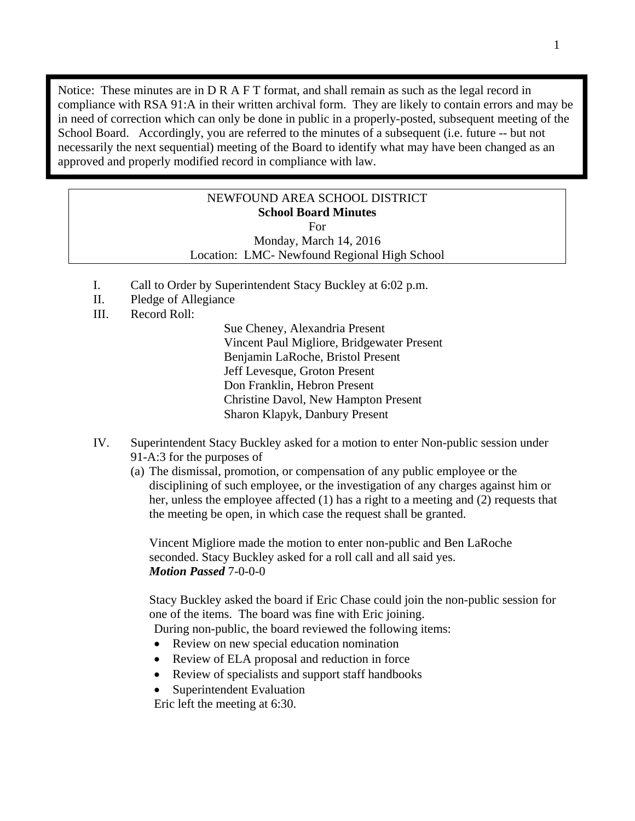Notice: These minutes are in D R A F T format, and shall remain as such as the legal record in compliance with RSA 91:A in their written archival form. They are likely to contain errors and may be in need of correction which can only be done in public in a properly-posted, subsequent meeting of the School Board. Accordingly, you are referred to the minutes of a subsequent (i.e. future -- but not necessarily the next sequential) meeting of the Board to identify what may have been changed as an approved and properly modified record in compliance with law.

# NEWFOUND AREA SCHOOL DISTRICT **School Board Minutes**  For

Monday, March 14, 2016 Location: LMC- Newfound Regional High School

- I. Call to Order by Superintendent Stacy Buckley at 6:02 p.m.
- II. Pledge of Allegiance
- III. Record Roll:

Sue Cheney, Alexandria Present Vincent Paul Migliore, Bridgewater Present Benjamin LaRoche, Bristol Present Jeff Levesque, Groton Present Don Franklin, Hebron Present Christine Davol, New Hampton Present Sharon Klapyk, Danbury Present

- IV. Superintendent Stacy Buckley asked for a motion to enter Non-public session under 91-A:3 for the purposes of
	- (a) The dismissal, promotion, or compensation of any public employee or the disciplining of such employee, or the investigation of any charges against him or her, unless the employee affected (1) has a right to a meeting and (2) requests that the meeting be open, in which case the request shall be granted.

Vincent Migliore made the motion to enter non-public and Ben LaRoche seconded. Stacy Buckley asked for a roll call and all said yes. *Motion Passed* 7-0-0-0

Stacy Buckley asked the board if Eric Chase could join the non-public session for one of the items. The board was fine with Eric joining.

During non-public, the board reviewed the following items:

- Review on new special education nomination
- Review of ELA proposal and reduction in force
- Review of specialists and support staff handbooks
- Superintendent Evaluation

Eric left the meeting at 6:30.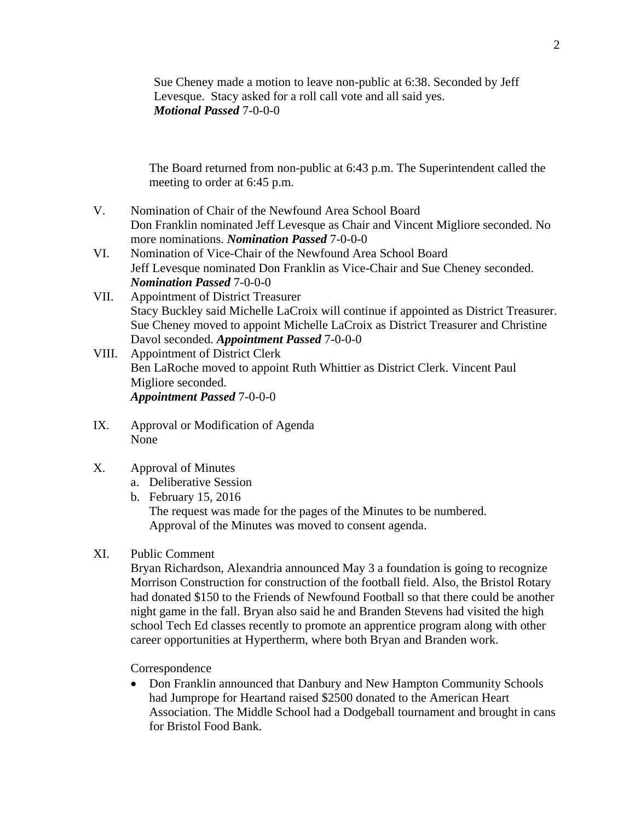Sue Cheney made a motion to leave non-public at 6:38. Seconded by Jeff Levesque. Stacy asked for a roll call vote and all said yes. *Motional Passed* 7-0-0-0

The Board returned from non-public at 6:43 p.m. The Superintendent called the meeting to order at 6:45 p.m.

- V. Nomination of Chair of the Newfound Area School Board Don Franklin nominated Jeff Levesque as Chair and Vincent Migliore seconded. No more nominations. *Nomination Passed* 7-0-0-0
- VI. Nomination of Vice-Chair of the Newfound Area School Board Jeff Levesque nominated Don Franklin as Vice-Chair and Sue Cheney seconded. *Nomination Passed* 7-0-0-0
- VII. Appointment of District Treasurer Stacy Buckley said Michelle LaCroix will continue if appointed as District Treasurer. Sue Cheney moved to appoint Michelle LaCroix as District Treasurer and Christine Davol seconded. *Appointment Passed* 7-0-0-0
- VIII. Appointment of District Clerk Ben LaRoche moved to appoint Ruth Whittier as District Clerk. Vincent Paul Migliore seconded. *Appointment Passed* 7-0-0-0
- IX. Approval or Modification of Agenda None
- X. Approval of Minutes
	- a. Deliberative Session
	- b. February 15, 2016 The request was made for the pages of the Minutes to be numbered. Approval of the Minutes was moved to consent agenda.

## XI. Public Comment

Bryan Richardson, Alexandria announced May 3 a foundation is going to recognize Morrison Construction for construction of the football field. Also, the Bristol Rotary had donated \$150 to the Friends of Newfound Football so that there could be another night game in the fall. Bryan also said he and Branden Stevens had visited the high school Tech Ed classes recently to promote an apprentice program along with other career opportunities at Hypertherm, where both Bryan and Branden work.

#### Correspondence

 Don Franklin announced that Danbury and New Hampton Community Schools had Jumprope for Heartand raised \$2500 donated to the American Heart Association. The Middle School had a Dodgeball tournament and brought in cans for Bristol Food Bank.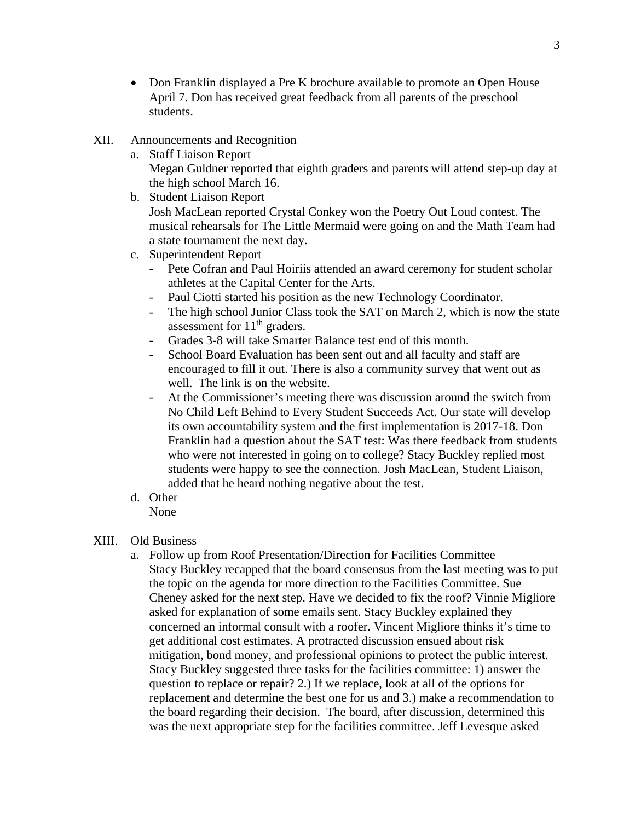- Don Franklin displayed a Pre K brochure available to promote an Open House April 7. Don has received great feedback from all parents of the preschool students.
- XII. Announcements and Recognition
	- a. Staff Liaison Report
		- Megan Guldner reported that eighth graders and parents will attend step-up day at the high school March 16.
	- b. Student Liaison Report Josh MacLean reported Crystal Conkey won the Poetry Out Loud contest. The musical rehearsals for The Little Mermaid were going on and the Math Team had a state tournament the next day.
	- c. Superintendent Report
		- Pete Cofran and Paul Hoiriis attended an award ceremony for student scholar athletes at the Capital Center for the Arts.
		- Paul Ciotti started his position as the new Technology Coordinator.
		- The high school Junior Class took the SAT on March 2, which is now the state assessment for  $11<sup>th</sup>$  graders.
		- Grades 3-8 will take Smarter Balance test end of this month.
		- School Board Evaluation has been sent out and all faculty and staff are encouraged to fill it out. There is also a community survey that went out as well. The link is on the website.
		- At the Commissioner's meeting there was discussion around the switch from No Child Left Behind to Every Student Succeeds Act. Our state will develop its own accountability system and the first implementation is 2017-18. Don Franklin had a question about the SAT test: Was there feedback from students who were not interested in going on to college? Stacy Buckley replied most students were happy to see the connection. Josh MacLean, Student Liaison, added that he heard nothing negative about the test.
	- d. Other None

## XIII. Old Business

a. Follow up from Roof Presentation/Direction for Facilities Committee Stacy Buckley recapped that the board consensus from the last meeting was to put the topic on the agenda for more direction to the Facilities Committee. Sue Cheney asked for the next step. Have we decided to fix the roof? Vinnie Migliore asked for explanation of some emails sent. Stacy Buckley explained they concerned an informal consult with a roofer. Vincent Migliore thinks it's time to get additional cost estimates. A protracted discussion ensued about risk mitigation, bond money, and professional opinions to protect the public interest. Stacy Buckley suggested three tasks for the facilities committee: 1) answer the question to replace or repair? 2.) If we replace, look at all of the options for replacement and determine the best one for us and 3.) make a recommendation to the board regarding their decision. The board, after discussion, determined this was the next appropriate step for the facilities committee. Jeff Levesque asked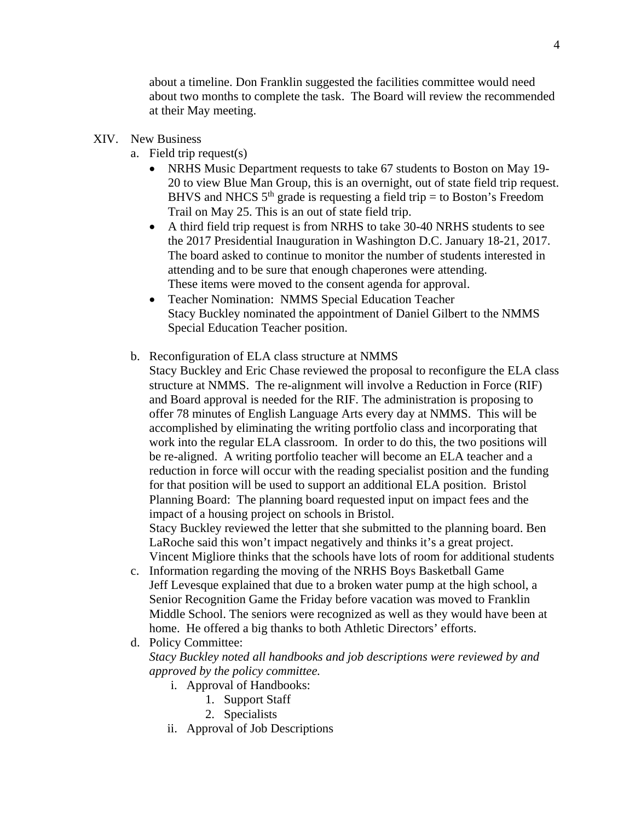about a timeline. Don Franklin suggested the facilities committee would need about two months to complete the task. The Board will review the recommended at their May meeting.

#### XIV. New Business

- a. Field trip request(s)
	- NRHS Music Department requests to take 67 students to Boston on May 19-20 to view Blue Man Group, this is an overnight, out of state field trip request. BHVS and NHCS  $5<sup>th</sup>$  grade is requesting a field trip = to Boston's Freedom Trail on May 25. This is an out of state field trip.
	- A third field trip request is from NRHS to take 30-40 NRHS students to see the 2017 Presidential Inauguration in Washington D.C. January 18-21, 2017. The board asked to continue to monitor the number of students interested in attending and to be sure that enough chaperones were attending. These items were moved to the consent agenda for approval.
	- Teacher Nomination: NMMS Special Education Teacher Stacy Buckley nominated the appointment of Daniel Gilbert to the NMMS Special Education Teacher position.
- b. Reconfiguration of ELA class structure at NMMS
	- Stacy Buckley and Eric Chase reviewed the proposal to reconfigure the ELA class structure at NMMS. The re-alignment will involve a Reduction in Force (RIF) and Board approval is needed for the RIF. The administration is proposing to offer 78 minutes of English Language Arts every day at NMMS. This will be accomplished by eliminating the writing portfolio class and incorporating that work into the regular ELA classroom. In order to do this, the two positions will be re-aligned. A writing portfolio teacher will become an ELA teacher and a reduction in force will occur with the reading specialist position and the funding for that position will be used to support an additional ELA position. Bristol Planning Board: The planning board requested input on impact fees and the impact of a housing project on schools in Bristol.

Stacy Buckley reviewed the letter that she submitted to the planning board. Ben LaRoche said this won't impact negatively and thinks it's a great project. Vincent Migliore thinks that the schools have lots of room for additional students

- c. Information regarding the moving of the NRHS Boys Basketball Game Jeff Levesque explained that due to a broken water pump at the high school, a Senior Recognition Game the Friday before vacation was moved to Franklin Middle School. The seniors were recognized as well as they would have been at home. He offered a big thanks to both Athletic Directors' efforts.
- d. Policy Committee: *Stacy Buckley noted all handbooks and job descriptions were reviewed by and approved by the policy committee.* 
	- i. Approval of Handbooks:
		- 1. Support Staff
		- 2. Specialists
	- ii. Approval of Job Descriptions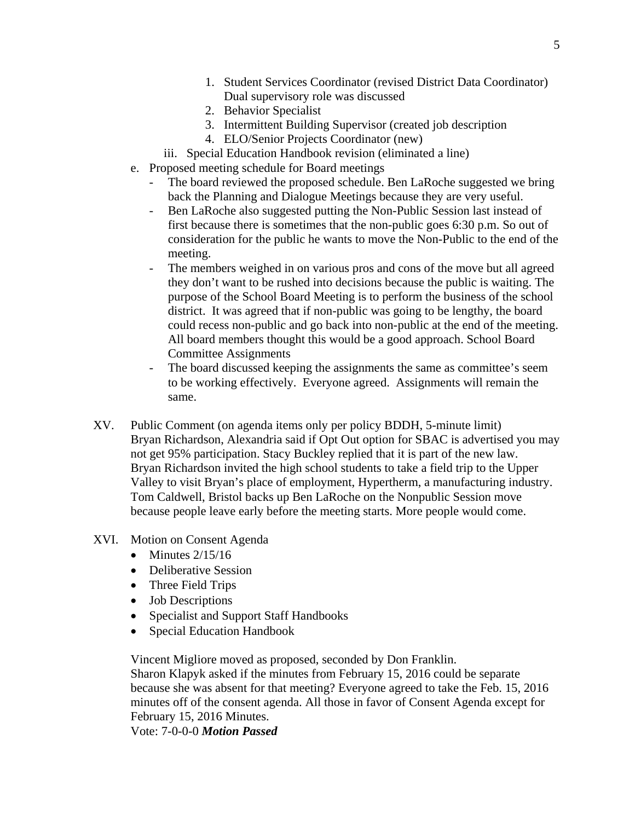- 1. Student Services Coordinator (revised District Data Coordinator) Dual supervisory role was discussed
- 2. Behavior Specialist
- 3. Intermittent Building Supervisor (created job description
- 4. ELO/Senior Projects Coordinator (new)
- iii. Special Education Handbook revision (eliminated a line)
- e. Proposed meeting schedule for Board meetings
	- The board reviewed the proposed schedule. Ben LaRoche suggested we bring back the Planning and Dialogue Meetings because they are very useful.
	- Ben LaRoche also suggested putting the Non-Public Session last instead of first because there is sometimes that the non-public goes 6:30 p.m. So out of consideration for the public he wants to move the Non-Public to the end of the meeting.
	- The members weighed in on various pros and cons of the move but all agreed they don't want to be rushed into decisions because the public is waiting. The purpose of the School Board Meeting is to perform the business of the school district. It was agreed that if non-public was going to be lengthy, the board could recess non-public and go back into non-public at the end of the meeting. All board members thought this would be a good approach. School Board Committee Assignments
	- The board discussed keeping the assignments the same as committee's seem to be working effectively. Everyone agreed. Assignments will remain the same.
- XV. Public Comment (on agenda items only per policy BDDH, 5-minute limit) Bryan Richardson, Alexandria said if Opt Out option for SBAC is advertised you may not get 95% participation. Stacy Buckley replied that it is part of the new law. Bryan Richardson invited the high school students to take a field trip to the Upper Valley to visit Bryan's place of employment, Hypertherm, a manufacturing industry. Tom Caldwell, Bristol backs up Ben LaRoche on the Nonpublic Session move because people leave early before the meeting starts. More people would come.
- XVI. Motion on Consent Agenda
	- $\bullet$  Minutes 2/15/16
	- Deliberative Session
	- Three Field Trips
	- Job Descriptions
	- Specialist and Support Staff Handbooks
	- Special Education Handbook

Vincent Migliore moved as proposed, seconded by Don Franklin.

Sharon Klapyk asked if the minutes from February 15, 2016 could be separate because she was absent for that meeting? Everyone agreed to take the Feb. 15, 2016 minutes off of the consent agenda. All those in favor of Consent Agenda except for February 15, 2016 Minutes.

Vote: 7-0-0-0 *Motion Passed*